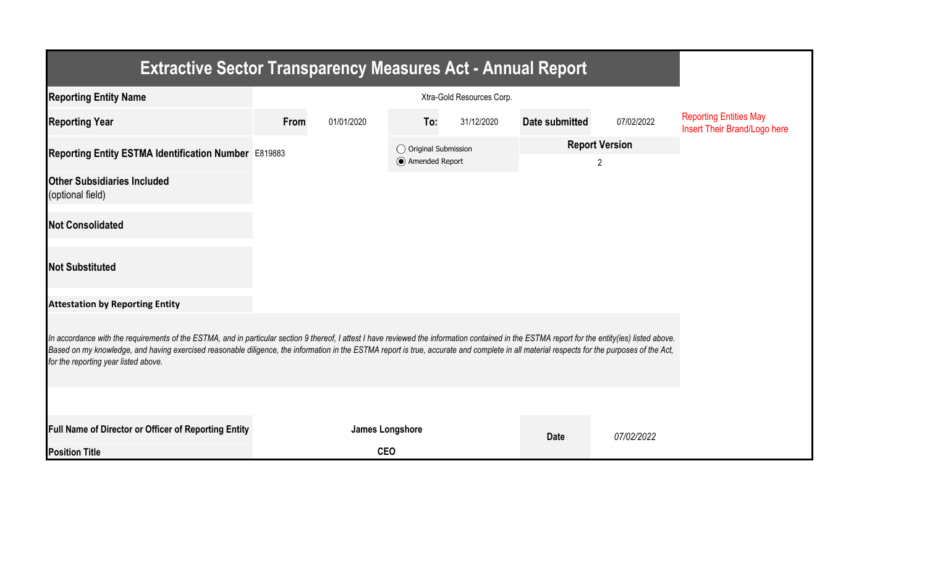| <b>Extractive Sector Transparency Measures Act - Annual Report</b>                                                                                                                                                                                                                                                                                                                                                                    |      |                 |                                |            |                       |                |                                                               |  |  |  |
|---------------------------------------------------------------------------------------------------------------------------------------------------------------------------------------------------------------------------------------------------------------------------------------------------------------------------------------------------------------------------------------------------------------------------------------|------|-----------------|--------------------------------|------------|-----------------------|----------------|---------------------------------------------------------------|--|--|--|
| <b>Reporting Entity Name</b>                                                                                                                                                                                                                                                                                                                                                                                                          |      |                 |                                |            |                       |                |                                                               |  |  |  |
| <b>Reporting Year</b>                                                                                                                                                                                                                                                                                                                                                                                                                 | From | 01/01/2020      | To:                            | 31/12/2020 | Date submitted        | 07/02/2022     | <b>Reporting Entities May</b><br>Insert Their Brand/Logo here |  |  |  |
| Reporting Entity ESTMA Identification Number E819883                                                                                                                                                                                                                                                                                                                                                                                  |      |                 | $\bigcirc$ Original Submission |            | <b>Report Version</b> |                |                                                               |  |  |  |
| <b>Other Subsidiaries Included</b><br>(optional field)                                                                                                                                                                                                                                                                                                                                                                                |      |                 | Amended Report                 |            |                       | $\overline{2}$ |                                                               |  |  |  |
| <b>Not Consolidated</b>                                                                                                                                                                                                                                                                                                                                                                                                               |      |                 |                                |            |                       |                |                                                               |  |  |  |
| <b>Not Substituted</b>                                                                                                                                                                                                                                                                                                                                                                                                                |      |                 |                                |            |                       |                |                                                               |  |  |  |
| <b>Attestation by Reporting Entity</b>                                                                                                                                                                                                                                                                                                                                                                                                |      |                 |                                |            |                       |                |                                                               |  |  |  |
| In accordance with the requirements of the ESTMA, and in particular section 9 thereof, I attest I have reviewed the information contained in the ESTMA report for the entity(ies) listed above.<br>Based on my knowledge, and having exercised reasonable diligence, the information in the ESTMA report is true, accurate and complete in all material respects for the purposes of the Act,<br>for the reporting year listed above. |      |                 |                                |            |                       |                |                                                               |  |  |  |
|                                                                                                                                                                                                                                                                                                                                                                                                                                       |      |                 |                                |            |                       |                |                                                               |  |  |  |
| Full Name of Director or Officer of Reporting Entity                                                                                                                                                                                                                                                                                                                                                                                  |      | James Longshore |                                |            | <b>Date</b>           | 07/02/2022     |                                                               |  |  |  |
| <b>Position Title</b>                                                                                                                                                                                                                                                                                                                                                                                                                 |      | <b>CEO</b>      |                                |            |                       |                |                                                               |  |  |  |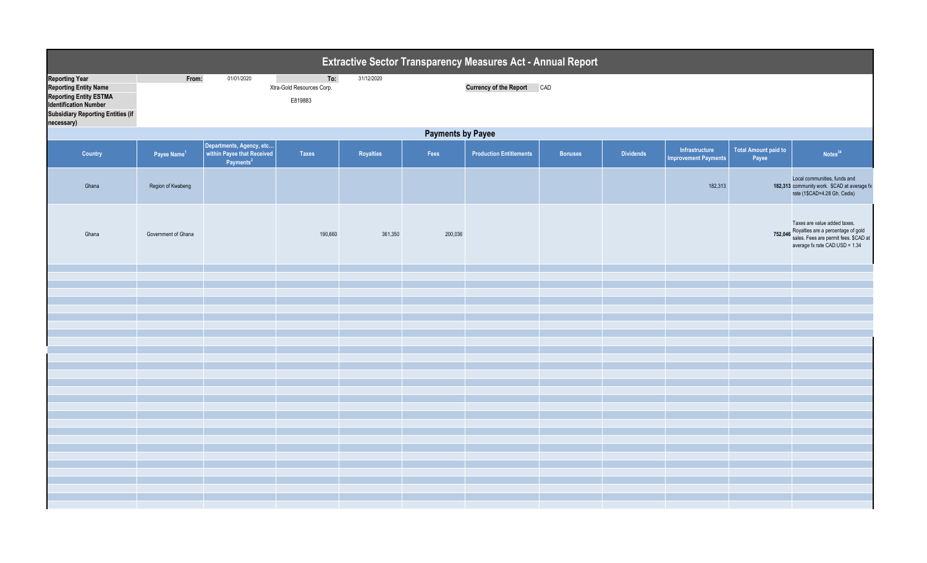| <b>Extractive Sector Transparency Measures Act - Annual Report</b>                                                                                                               |                          |                                                   |                                             |                  |         |                                   |                |                  |                                               |                               |                                                                                                                                                       |  |
|----------------------------------------------------------------------------------------------------------------------------------------------------------------------------------|--------------------------|---------------------------------------------------|---------------------------------------------|------------------|---------|-----------------------------------|----------------|------------------|-----------------------------------------------|-------------------------------|-------------------------------------------------------------------------------------------------------------------------------------------------------|--|
| <b>Reporting Year</b><br><b>Reporting Entity Name</b><br><b>Reporting Entity ESTMA</b><br><b>Identification Number</b><br><b>Subsidiary Reporting Entities (if</b><br>necessary) | From:                    | 01/01/2020                                        | To:<br>Xtra-Gold Resources Corp.<br>E819883 | 31/12/2020       |         | <b>Currency of the Report CAD</b> |                |                  |                                               |                               |                                                                                                                                                       |  |
|                                                                                                                                                                                  | <b>Payments by Payee</b> |                                                   |                                             |                  |         |                                   |                |                  |                                               |                               |                                                                                                                                                       |  |
| <b>Country</b>                                                                                                                                                                   | Payee Name <sup>1</sup>  | Departments, Agency, etc<br>Payments <sup>2</sup> | <b>Taxes</b>                                | <b>Royalties</b> | Fees    | <b>Production Entitlements</b>    | <b>Bonuses</b> | <b>Dividends</b> | Infrastructure<br><b>Improvement Payments</b> | Total Amount paid to<br>Payee | Notes <sup>34</sup>                                                                                                                                   |  |
| Ghana                                                                                                                                                                            | Region of Kwabeng        |                                                   |                                             |                  |         |                                   |                |                  | 182,313                                       |                               | Local communities, funds and<br>182,313 community work. \$CAD at average fx<br>rate (1\$CAD=4.28 Gh. Cedis)                                           |  |
| Ghana                                                                                                                                                                            | Government of Ghana      |                                                   | 190,660                                     | 361,350          | 200,036 |                                   |                |                  |                                               |                               | Taxes are value added taxes.<br>752,046 Royalties are a percentage of gold<br>sales. Fees are permit fees. \$CAD at<br>average fx rate CAD:USD = 1.34 |  |
|                                                                                                                                                                                  |                          |                                                   |                                             |                  |         |                                   |                |                  |                                               |                               |                                                                                                                                                       |  |
|                                                                                                                                                                                  |                          |                                                   |                                             |                  |         |                                   |                |                  |                                               |                               |                                                                                                                                                       |  |
|                                                                                                                                                                                  |                          |                                                   |                                             |                  |         |                                   |                |                  |                                               |                               |                                                                                                                                                       |  |
|                                                                                                                                                                                  |                          |                                                   |                                             |                  |         |                                   |                |                  |                                               |                               |                                                                                                                                                       |  |
|                                                                                                                                                                                  |                          |                                                   |                                             |                  |         |                                   |                |                  |                                               |                               |                                                                                                                                                       |  |
|                                                                                                                                                                                  |                          |                                                   |                                             |                  |         |                                   |                |                  |                                               |                               |                                                                                                                                                       |  |
|                                                                                                                                                                                  |                          |                                                   |                                             |                  |         |                                   |                |                  |                                               |                               |                                                                                                                                                       |  |
|                                                                                                                                                                                  |                          |                                                   |                                             |                  |         |                                   |                |                  |                                               |                               |                                                                                                                                                       |  |
|                                                                                                                                                                                  |                          |                                                   |                                             |                  |         |                                   |                |                  |                                               |                               |                                                                                                                                                       |  |
|                                                                                                                                                                                  |                          |                                                   |                                             |                  |         |                                   |                |                  |                                               |                               |                                                                                                                                                       |  |
|                                                                                                                                                                                  |                          |                                                   |                                             |                  |         |                                   |                |                  |                                               |                               |                                                                                                                                                       |  |
|                                                                                                                                                                                  |                          |                                                   |                                             |                  |         |                                   |                |                  |                                               |                               |                                                                                                                                                       |  |
|                                                                                                                                                                                  |                          |                                                   |                                             |                  |         |                                   |                |                  |                                               |                               |                                                                                                                                                       |  |
|                                                                                                                                                                                  |                          |                                                   |                                             |                  |         |                                   |                |                  |                                               |                               |                                                                                                                                                       |  |
|                                                                                                                                                                                  |                          |                                                   |                                             |                  |         |                                   |                |                  |                                               |                               |                                                                                                                                                       |  |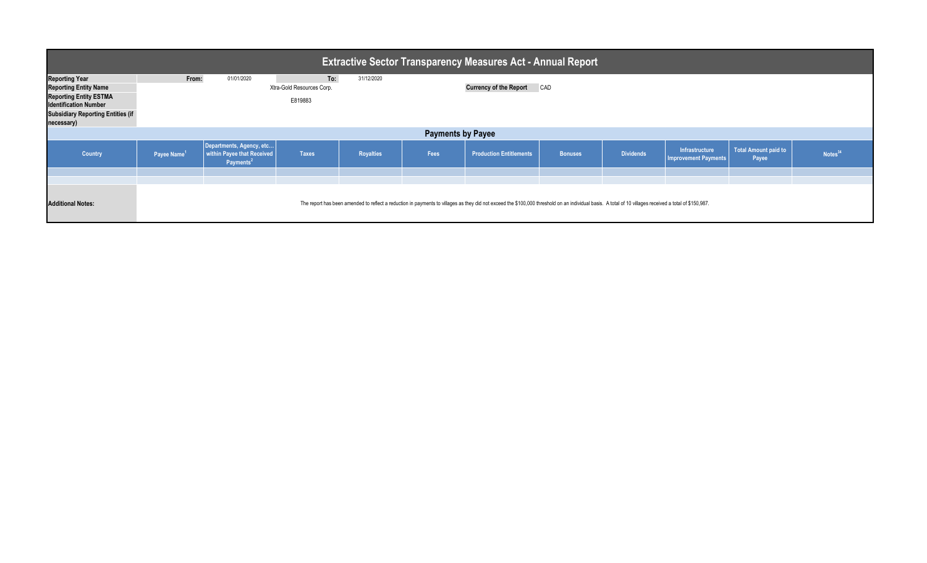| Extractive Sector Transparency Measures Act - Annual Report \                                                                                                                    |                         |                                                                                 |                                             |                  |      |                                                                                                                                                                                                         |                |                  |                                               |                                      |            |
|----------------------------------------------------------------------------------------------------------------------------------------------------------------------------------|-------------------------|---------------------------------------------------------------------------------|---------------------------------------------|------------------|------|---------------------------------------------------------------------------------------------------------------------------------------------------------------------------------------------------------|----------------|------------------|-----------------------------------------------|--------------------------------------|------------|
| <b>Reporting Year</b><br><b>Reporting Entity Name</b><br><b>Reporting Entity ESTMA</b><br><b>Identification Number</b><br><b>Subsidiary Reporting Entities (if</b><br>necessary) | From:                   | 01/01/2020                                                                      | To:<br>Xtra-Gold Resources Corp.<br>E819883 | 31/12/2020       |      | <b>Currency of the Report CAD</b>                                                                                                                                                                       |                |                  |                                               |                                      |            |
| <b>Payments by Payee</b>                                                                                                                                                         |                         |                                                                                 |                                             |                  |      |                                                                                                                                                                                                         |                |                  |                                               |                                      |            |
| <b>Country</b>                                                                                                                                                                   | Payee Name <sup>1</sup> | Departments, Agency, etc<br>within Payee that Received<br>Payments <sup>2</sup> | <b>Taxes</b>                                | <b>Royalties</b> | Fees | <b>Production Entitlements</b>                                                                                                                                                                          | <b>Bonuses</b> | <b>Dividends</b> | Infrastructure<br><b>Improvement Payments</b> | <b>Total Amount paid to</b><br>Payee | Notes $34$ |
|                                                                                                                                                                                  |                         |                                                                                 |                                             |                  |      |                                                                                                                                                                                                         |                |                  |                                               |                                      |            |
| <b>Additional Notes:</b>                                                                                                                                                         |                         |                                                                                 |                                             |                  |      | The report has been amended to reflect a reduction in payments to villages as they did not exceed the \$100,000 threshold on an individual basis. A total of 10 villages received a total of \$150,987. |                |                  |                                               |                                      |            |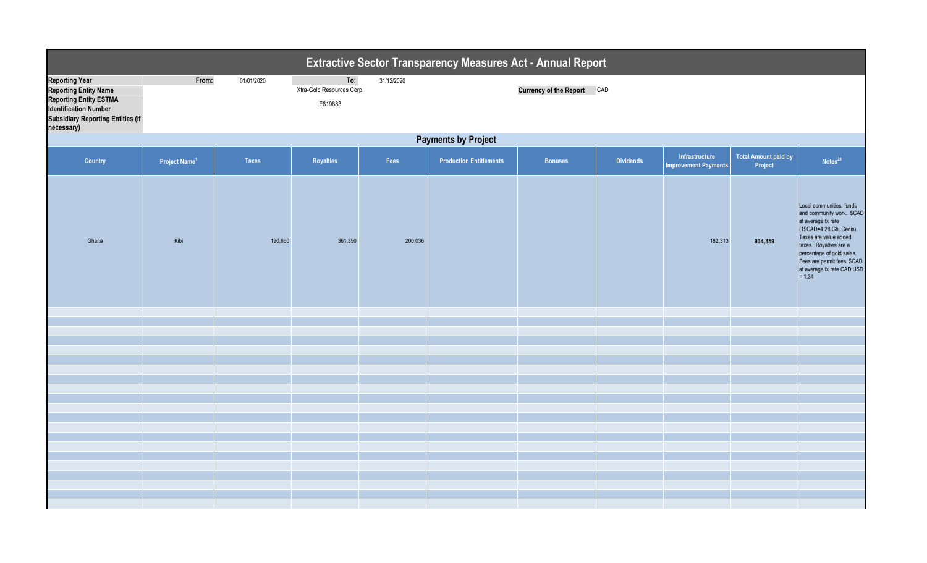| <b>Extractive Sector Transparency Measures Act - Annual Report</b>                                                                                                               |                                 |              |                                             |            |                                |                               |                  |                                               |                                 |                                                                                                                                                                                                                                                                  |  |
|----------------------------------------------------------------------------------------------------------------------------------------------------------------------------------|---------------------------------|--------------|---------------------------------------------|------------|--------------------------------|-------------------------------|------------------|-----------------------------------------------|---------------------------------|------------------------------------------------------------------------------------------------------------------------------------------------------------------------------------------------------------------------------------------------------------------|--|
| <b>Reporting Year</b><br><b>Reporting Entity Name</b><br><b>Reporting Entity ESTMA</b><br><b>Identification Number</b><br><b>Subsidiary Reporting Entities (if</b><br>necessary) | From:                           | 01/01/2020   | To:<br>Xtra-Gold Resources Corp.<br>E819883 | 31/12/2020 |                                | <b>Currency of the Report</b> | CAD              |                                               |                                 |                                                                                                                                                                                                                                                                  |  |
|                                                                                                                                                                                  | <b>Payments by Project</b>      |              |                                             |            |                                |                               |                  |                                               |                                 |                                                                                                                                                                                                                                                                  |  |
| <b>Country</b>                                                                                                                                                                   | <b>Project Name<sup>1</sup></b> | <b>Taxes</b> | Royalties                                   | Fees       | <b>Production Entitlements</b> | <b>Bonuses</b>                | <b>Dividends</b> | Infrastructure<br><b>Improvement Payments</b> | Total Amount paid by<br>Project | Notes <sup>23</sup>                                                                                                                                                                                                                                              |  |
| Ghana                                                                                                                                                                            | Kibi                            | 190,660      | 361,350                                     | 200,036    |                                |                               |                  | 182,313                                       | 934,359                         | Local communities, funds<br>and community work. \$CAD<br>at average fx rate<br>(1\$CAD=4.28 Gh. Cedis).<br>Taxes are value added<br>taxes. Royalties are a<br>percentage of gold sales.<br>Fees are permit fees. \$CAD<br>at average fx rate CAD:USD<br>$= 1.34$ |  |
|                                                                                                                                                                                  |                                 |              |                                             |            |                                |                               |                  |                                               |                                 |                                                                                                                                                                                                                                                                  |  |
|                                                                                                                                                                                  |                                 |              |                                             |            |                                |                               |                  |                                               |                                 |                                                                                                                                                                                                                                                                  |  |
|                                                                                                                                                                                  |                                 |              |                                             |            |                                |                               |                  |                                               |                                 |                                                                                                                                                                                                                                                                  |  |
|                                                                                                                                                                                  |                                 |              |                                             |            |                                |                               |                  |                                               |                                 |                                                                                                                                                                                                                                                                  |  |
|                                                                                                                                                                                  |                                 |              |                                             |            |                                |                               |                  |                                               |                                 |                                                                                                                                                                                                                                                                  |  |
|                                                                                                                                                                                  |                                 |              |                                             |            |                                |                               |                  |                                               |                                 |                                                                                                                                                                                                                                                                  |  |
|                                                                                                                                                                                  |                                 |              |                                             |            |                                |                               |                  |                                               |                                 |                                                                                                                                                                                                                                                                  |  |
|                                                                                                                                                                                  |                                 |              |                                             |            |                                |                               |                  |                                               |                                 |                                                                                                                                                                                                                                                                  |  |
|                                                                                                                                                                                  |                                 |              |                                             |            |                                |                               |                  |                                               |                                 |                                                                                                                                                                                                                                                                  |  |
|                                                                                                                                                                                  |                                 |              |                                             |            |                                |                               |                  |                                               |                                 |                                                                                                                                                                                                                                                                  |  |
|                                                                                                                                                                                  |                                 |              |                                             |            |                                |                               |                  |                                               |                                 |                                                                                                                                                                                                                                                                  |  |
|                                                                                                                                                                                  |                                 |              |                                             |            |                                |                               |                  |                                               |                                 |                                                                                                                                                                                                                                                                  |  |